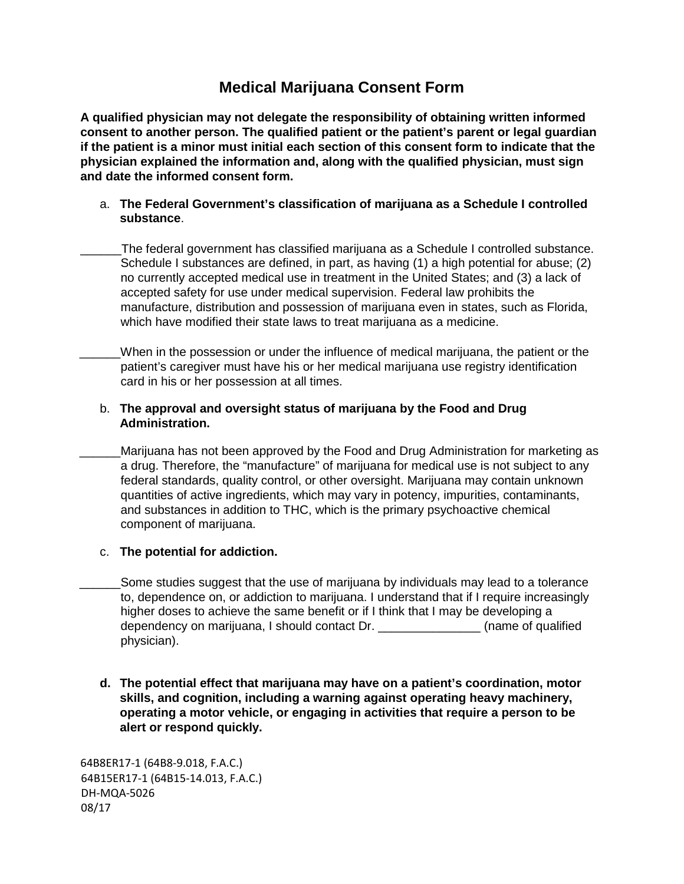# **Medical Marijuana Consent Form**

**A qualified physician may not delegate the responsibility of obtaining written informed consent to another person. The qualified patient or the patient's parent or legal guardian if the patient is a minor must initial each section of this consent form to indicate that the physician explained the information and, along with the qualified physician, must sign and date the informed consent form.** 

# a. **The Federal Government's classification of marijuana as a Schedule I controlled substance**.

- \_\_\_\_\_\_The federal government has classified marijuana as a Schedule I controlled substance. Schedule I substances are defined, in part, as having (1) a high potential for abuse; (2) no currently accepted medical use in treatment in the United States; and (3) a lack of accepted safety for use under medical supervision. Federal law prohibits the manufacture, distribution and possession of marijuana even in states, such as Florida, which have modified their state laws to treat marijuana as a medicine.
- \_\_\_\_\_\_When in the possession or under the influence of medical marijuana, the patient or the patient's caregiver must have his or her medical marijuana use registry identification card in his or her possession at all times.

# b. **The approval and oversight status of marijuana by the Food and Drug Administration.**

Marijuana has not been approved by the Food and Drug Administration for marketing as a drug. Therefore, the "manufacture" of marijuana for medical use is not subject to any federal standards, quality control, or other oversight. Marijuana may contain unknown quantities of active ingredients, which may vary in potency, impurities, contaminants, and substances in addition to THC, which is the primary psychoactive chemical component of marijuana.

# c. **The potential for addiction.**

- Some studies suggest that the use of marijuana by individuals may lead to a tolerance to, dependence on, or addiction to marijuana. I understand that if I require increasingly higher doses to achieve the same benefit or if I think that I may be developing a dependency on marijuana, I should contact Dr. \_\_\_\_\_\_\_\_\_\_\_\_\_\_\_ (name of qualified physician).
- **d. The potential effect that marijuana may have on a patient's coordination, motor skills, and cognition, including a warning against operating heavy machinery, operating a motor vehicle, or engaging in activities that require a person to be alert or respond quickly.**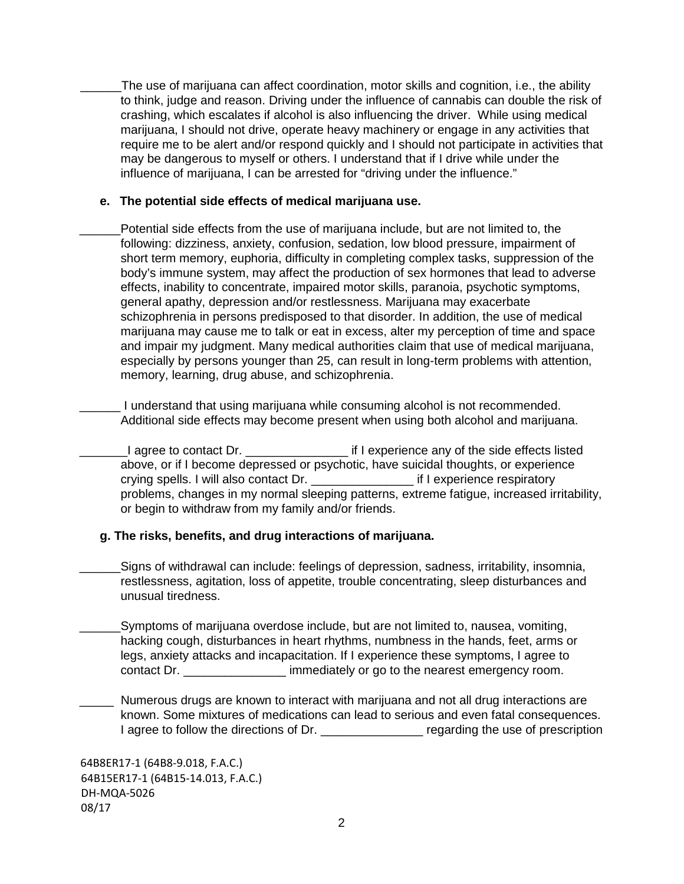\_\_\_\_\_\_The use of marijuana can affect coordination, motor skills and cognition, i.e., the ability to think, judge and reason. Driving under the influence of cannabis can double the risk of crashing, which escalates if alcohol is also influencing the driver. While using medical marijuana, I should not drive, operate heavy machinery or engage in any activities that require me to be alert and/or respond quickly and I should not participate in activities that may be dangerous to myself or others. I understand that if I drive while under the influence of marijuana, I can be arrested for "driving under the influence."

# **e. The potential side effects of medical marijuana use.**

Potential side effects from the use of marijuana include, but are not limited to, the following: dizziness, anxiety, confusion, sedation, low blood pressure, impairment of short term memory, euphoria, difficulty in completing complex tasks, suppression of the body's immune system, may affect the production of sex hormones that lead to adverse effects, inability to concentrate, impaired motor skills, paranoia, psychotic symptoms, general apathy, depression and/or restlessness. Marijuana may exacerbate schizophrenia in persons predisposed to that disorder. In addition, the use of medical marijuana may cause me to talk or eat in excess, alter my perception of time and space and impair my judgment. Many medical authorities claim that use of medical marijuana, especially by persons younger than 25, can result in long-term problems with attention, memory, learning, drug abuse, and schizophrenia.

I understand that using marijuana while consuming alcohol is not recommended. Additional side effects may become present when using both alcohol and marijuana.

\_\_\_\_\_\_\_I agree to contact Dr. \_\_\_\_\_\_\_\_\_\_\_\_\_\_\_ if I experience any of the side effects listed above, or if I become depressed or psychotic, have suicidal thoughts, or experience crying spells. I will also contact Dr. \_\_\_\_\_\_\_\_\_\_\_\_\_\_\_ if I experience respiratory problems, changes in my normal sleeping patterns, extreme fatigue, increased irritability, or begin to withdraw from my family and/or friends.

# **g. The risks, benefits, and drug interactions of marijuana.**

Signs of withdrawal can include: feelings of depression, sadness, irritability, insomnia, restlessness, agitation, loss of appetite, trouble concentrating, sleep disturbances and unusual tiredness.

\_\_\_\_\_\_Symptoms of marijuana overdose include, but are not limited to, nausea, vomiting, hacking cough, disturbances in heart rhythms, numbness in the hands, feet, arms or legs, anxiety attacks and incapacitation. If I experience these symptoms, I agree to contact Dr. **Example 10** immediately or go to the nearest emergency room.

Numerous drugs are known to interact with marijuana and not all drug interactions are known. Some mixtures of medications can lead to serious and even fatal consequences. I agree to follow the directions of Dr. \_\_\_\_\_\_\_\_\_\_\_\_\_\_\_\_\_\_\_ regarding the use of prescription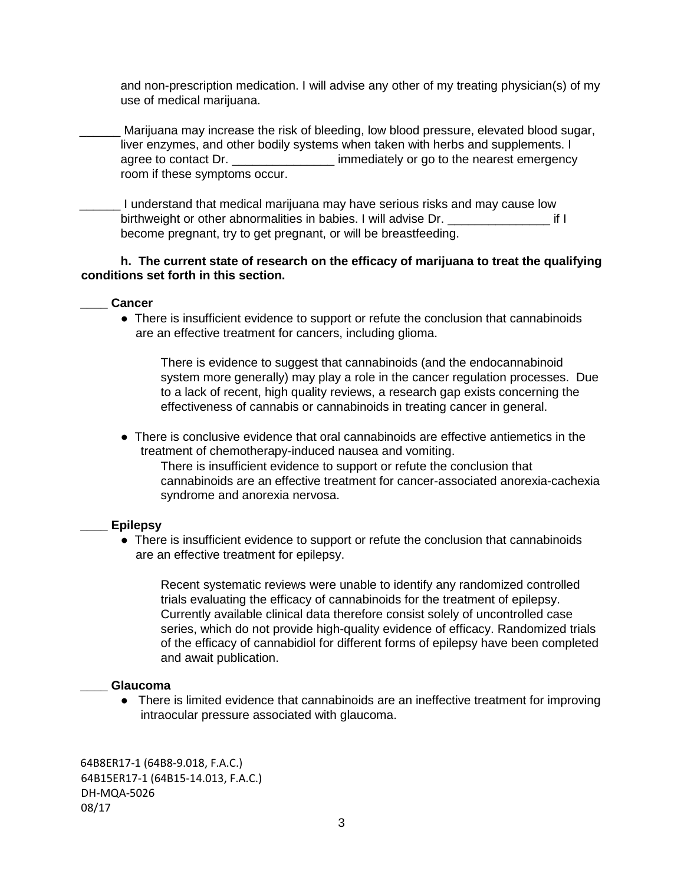and non-prescription medication. I will advise any other of my treating physician(s) of my use of medical marijuana.

Marijuana may increase the risk of bleeding, low blood pressure, elevated blood sugar, liver enzymes, and other bodily systems when taken with herbs and supplements. I agree to contact Dr. \_\_\_\_\_\_\_\_\_\_\_\_\_\_\_\_\_\_\_ immediately or go to the nearest emergency room if these symptoms occur.

\_\_\_\_\_\_ I understand that medical marijuana may have serious risks and may cause low birthweight or other abnormalities in babies. I will advise Dr. \_\_\_\_\_\_\_\_\_\_\_\_\_\_\_ if I become pregnant, try to get pregnant, or will be breastfeeding.

## **h. The current state of research on the efficacy of marijuana to treat the qualifying conditions set forth in this section.**

#### **\_\_\_\_ Cancer**

• There is insufficient evidence to support or refute the conclusion that cannabinoids are an effective treatment for cancers, including glioma.

There is evidence to suggest that cannabinoids (and the endocannabinoid system more generally) may play a role in the cancer regulation processes. Due to a lack of recent, high quality reviews, a research gap exists concerning the effectiveness of cannabis or cannabinoids in treating cancer in general.

● There is conclusive evidence that oral cannabinoids are effective antiemetics in the treatment of chemotherapy-induced nausea and vomiting.

There is insufficient evidence to support or refute the conclusion that cannabinoids are an effective treatment for cancer-associated anorexia-cachexia syndrome and anorexia nervosa.

#### **\_\_\_\_ Epilepsy**

• There is insufficient evidence to support or refute the conclusion that cannabinoids are an effective treatment for epilepsy.

Recent systematic reviews were unable to identify any randomized controlled trials evaluating the efficacy of cannabinoids for the treatment of epilepsy. Currently available clinical data therefore consist solely of uncontrolled case series, which do not provide high-quality evidence of efficacy. Randomized trials of the efficacy of cannabidiol for different forms of epilepsy have been completed and await publication.

#### **\_\_\_\_ Glaucoma**

● There is limited evidence that cannabinoids are an ineffective treatment for improving intraocular pressure associated with glaucoma.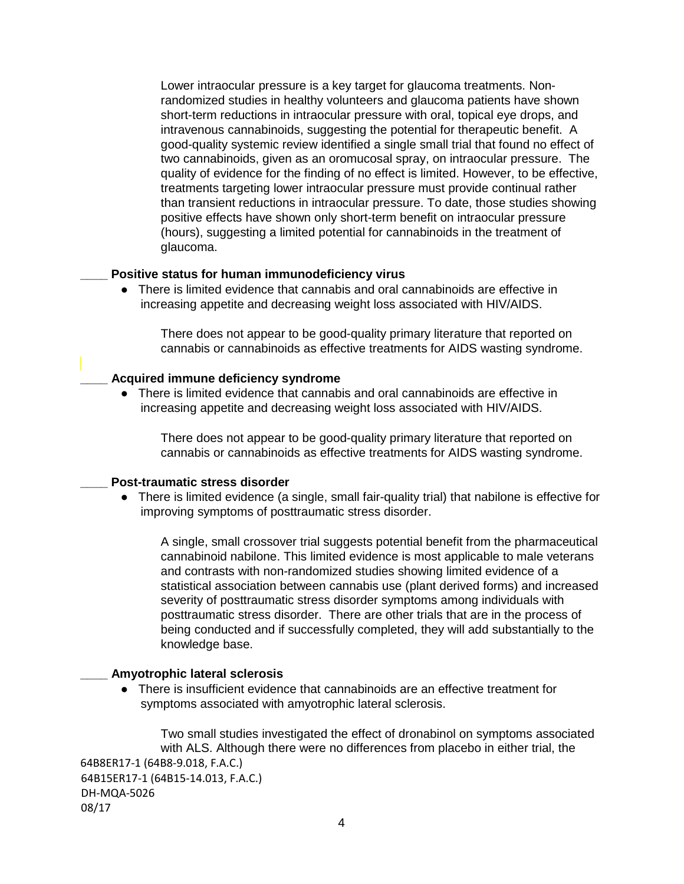Lower intraocular pressure is a key target for glaucoma treatments. Nonrandomized studies in healthy volunteers and glaucoma patients have shown short-term reductions in intraocular pressure with oral, topical eye drops, and intravenous cannabinoids, suggesting the potential for therapeutic benefit. A good-quality systemic review identified a single small trial that found no effect of two cannabinoids, given as an oromucosal spray, on intraocular pressure. The quality of evidence for the finding of no effect is limited. However, to be effective, treatments targeting lower intraocular pressure must provide continual rather than transient reductions in intraocular pressure. To date, those studies showing positive effects have shown only short-term benefit on intraocular pressure (hours), suggesting a limited potential for cannabinoids in the treatment of glaucoma.

#### **\_\_\_\_ Positive status for human immunodeficiency virus**

● There is limited evidence that cannabis and oral cannabinoids are effective in increasing appetite and decreasing weight loss associated with HIV/AIDS.

There does not appear to be good-quality primary literature that reported on cannabis or cannabinoids as effective treatments for AIDS wasting syndrome.

#### **\_\_\_\_ Acquired immune deficiency syndrome**

● There is limited evidence that cannabis and oral cannabinoids are effective in increasing appetite and decreasing weight loss associated with HIV/AIDS.

There does not appear to be good-quality primary literature that reported on cannabis or cannabinoids as effective treatments for AIDS wasting syndrome.

#### **\_\_\_\_ Post-traumatic stress disorder**

● There is limited evidence (a single, small fair-quality trial) that nabilone is effective for improving symptoms of posttraumatic stress disorder.

A single, small crossover trial suggests potential benefit from the pharmaceutical cannabinoid nabilone. This limited evidence is most applicable to male veterans and contrasts with non-randomized studies showing limited evidence of a statistical association between cannabis use (plant derived forms) and increased severity of posttraumatic stress disorder symptoms among individuals with posttraumatic stress disorder. There are other trials that are in the process of being conducted and if successfully completed, they will add substantially to the knowledge base.

#### **\_\_\_\_ Amyotrophic lateral sclerosis**

● There is insufficient evidence that cannabinoids are an effective treatment for symptoms associated with amyotrophic lateral sclerosis.

64B8ER17-1 (64B8-9.018, F.A.C.) 64B15ER17-1 (64B15-14.013, F.A.C.) DH-MQA-5026 08/17 Two small studies investigated the effect of dronabinol on symptoms associated with ALS. Although there were no differences from placebo in either trial, the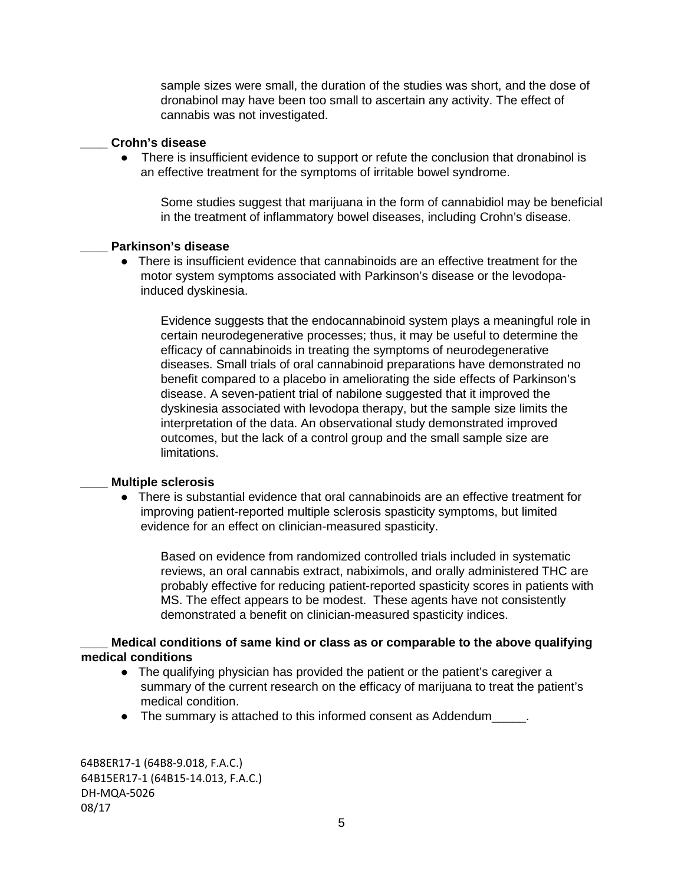sample sizes were small, the duration of the studies was short, and the dose of dronabinol may have been too small to ascertain any activity. The effect of cannabis was not investigated.

#### **\_\_\_\_ Crohn's disease**

• There is insufficient evidence to support or refute the conclusion that dronabinol is an effective treatment for the symptoms of irritable bowel syndrome.

Some studies suggest that marijuana in the form of cannabidiol may be beneficial in the treatment of inflammatory bowel diseases, including Crohn's disease.

# **\_\_\_\_ Parkinson's disease**

● There is insufficient evidence that cannabinoids are an effective treatment for the motor system symptoms associated with Parkinson's disease or the levodopainduced dyskinesia.

Evidence suggests that the endocannabinoid system plays a meaningful role in certain neurodegenerative processes; thus, it may be useful to determine the efficacy of cannabinoids in treating the symptoms of neurodegenerative diseases. Small trials of oral cannabinoid preparations have demonstrated no benefit compared to a placebo in ameliorating the side effects of Parkinson's disease. A seven-patient trial of nabilone suggested that it improved the dyskinesia associated with levodopa therapy, but the sample size limits the interpretation of the data. An observational study demonstrated improved outcomes, but the lack of a control group and the small sample size are limitations.

# **\_\_\_\_ Multiple sclerosis**

● There is substantial evidence that oral cannabinoids are an effective treatment for improving patient-reported multiple sclerosis spasticity symptoms, but limited evidence for an effect on clinician-measured spasticity.

Based on evidence from randomized controlled trials included in systematic reviews, an oral cannabis extract, nabiximols, and orally administered THC are probably effective for reducing patient-reported spasticity scores in patients with MS. The effect appears to be modest. These agents have not consistently demonstrated a benefit on clinician-measured spasticity indices.

**\_\_\_\_ Medical conditions of same kind or class as or comparable to the above qualifying medical conditions** 

- The qualifying physician has provided the patient or the patient's caregiver a summary of the current research on the efficacy of marijuana to treat the patient's medical condition.
- The summary is attached to this informed consent as Addendum  $\qquad \qquad$ .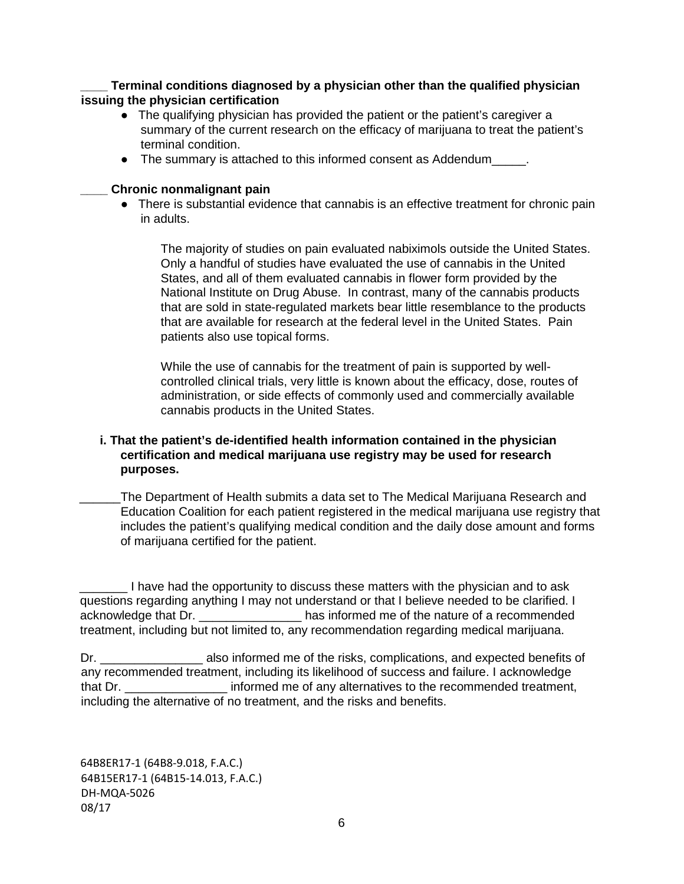**\_\_\_\_ Terminal conditions diagnosed by a physician other than the qualified physician issuing the physician certification** 

- The qualifying physician has provided the patient or the patient's caregiver a summary of the current research on the efficacy of marijuana to treat the patient's terminal condition.
- The summary is attached to this informed consent as Addendum\_\_\_\_\_.

#### **\_\_\_\_ Chronic nonmalignant pain**

• There is substantial evidence that cannabis is an effective treatment for chronic pain in adults.

The majority of studies on pain evaluated nabiximols outside the United States. Only a handful of studies have evaluated the use of cannabis in the United States, and all of them evaluated cannabis in flower form provided by the National Institute on Drug Abuse. In contrast, many of the cannabis products that are sold in state-regulated markets bear little resemblance to the products that are available for research at the federal level in the United States. Pain patients also use topical forms.

While the use of cannabis for the treatment of pain is supported by wellcontrolled clinical trials, very little is known about the efficacy, dose, routes of administration, or side effects of commonly used and commercially available cannabis products in the United States.

# **i. That the patient's de-identified health information contained in the physician certification and medical marijuana use registry may be used for research purposes.**

The Department of Health submits a data set to The Medical Marijuana Research and Education Coalition for each patient registered in the medical marijuana use registry that includes the patient's qualifying medical condition and the daily dose amount and forms of marijuana certified for the patient.

I have had the opportunity to discuss these matters with the physician and to ask questions regarding anything I may not understand or that I believe needed to be clarified. I acknowledge that Dr. \_\_\_\_\_\_\_\_\_\_\_\_\_\_\_ has informed me of the nature of a recommended treatment, including but not limited to, any recommendation regarding medical marijuana.

Dr. \_\_\_\_\_\_\_\_\_\_\_\_\_\_\_\_\_\_\_\_\_\_\_\_\_ also informed me of the risks, complications, and expected benefits of any recommended treatment, including its likelihood of success and failure. I acknowledge that Dr. \_\_\_\_\_\_\_\_\_\_\_\_\_\_\_ informed me of any alternatives to the recommended treatment, including the alternative of no treatment, and the risks and benefits.